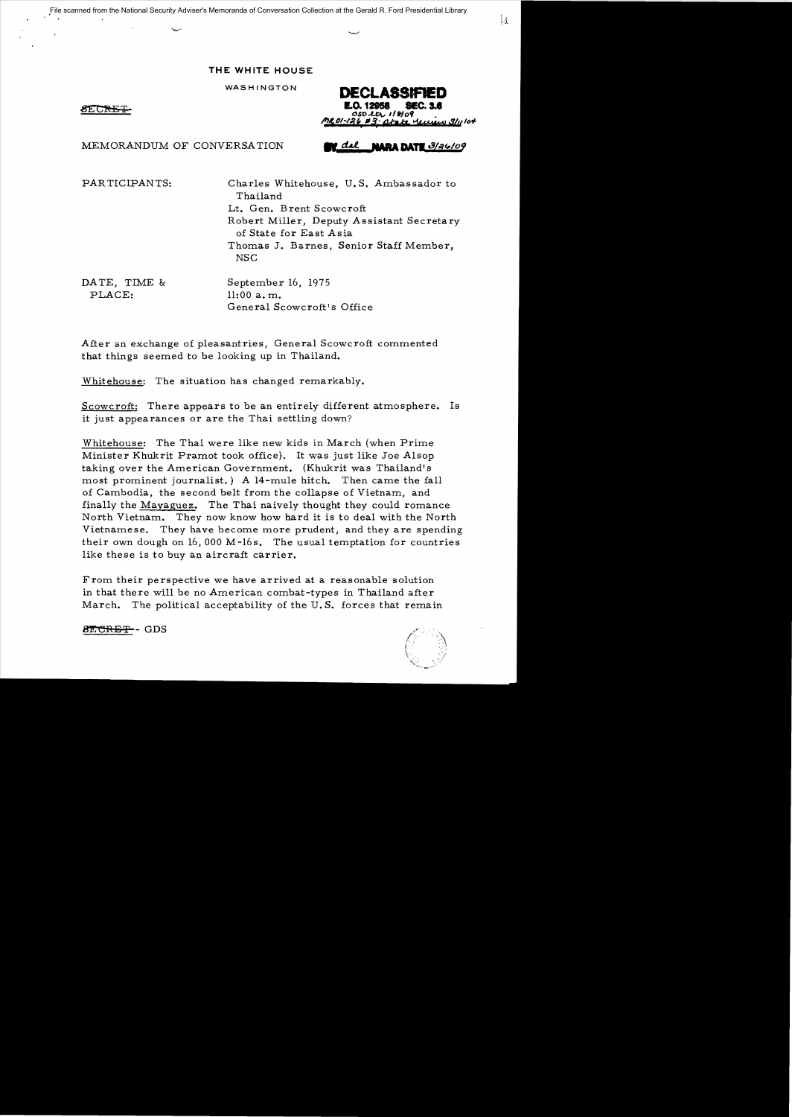File scanned from the National Security Adviser's Memoranda of Conversation Collection at the Gerald R. Ford Presidential Library

## **THE WHITE HOUSE**

WASHINGTON

8E GRI

DECLASSIFIED **Q. 12958** oso ter 118109

**IARA DATE 3/24/09** 

MEMORANDUM OF CONVERSATION

PARTICIPANTS: Charles Whitehouse, U. S. Ambassador to Thailand Lt. Gen. Brent Scowcroft Robert Miller, Deputy Assistant Secretary of State for East Asia Thomas J. Barnes, Senior Staff Member, NSC

PLACE: 11:00 a.m.

DATE, TIME & September 16, 1975 General Scowcroft's Office

After an exchange of pleasantries, General Scowcroft commented that things seemed to be looking up in Thailand.

Whitehouse: The situation has changed remarkably.

Scowcroft: There appears to be an entirely different atmosphere. Is it just appearances or are the Thai settling down?

Whitehouse: The Thai were like new kids in March (when Prime Minister Khukrit Pramot took office), It was just like Joe Alsop taking over the American Government. (Khukrit was Thailand's most prominent journalist.) A 14-mule hitch. Then came the fall of Cambodia, the second belt from the collapse of Vietnam, and finally the Mayaguez. The Thai naively thought they could romance North Vietnam. They now know how hard it is to deal with the North Vietnamese. They have become more prudent, and they are spending their own dough on 16,000 M-16s. The usual temptation for countries like these is to buy an aircraft carrier.

From their perspective we have arrived at a reasonable solution in that there will be no American combat-types in Thailand after March. The political acceptability of the U. S. forces that remain

8ECRET-GDS

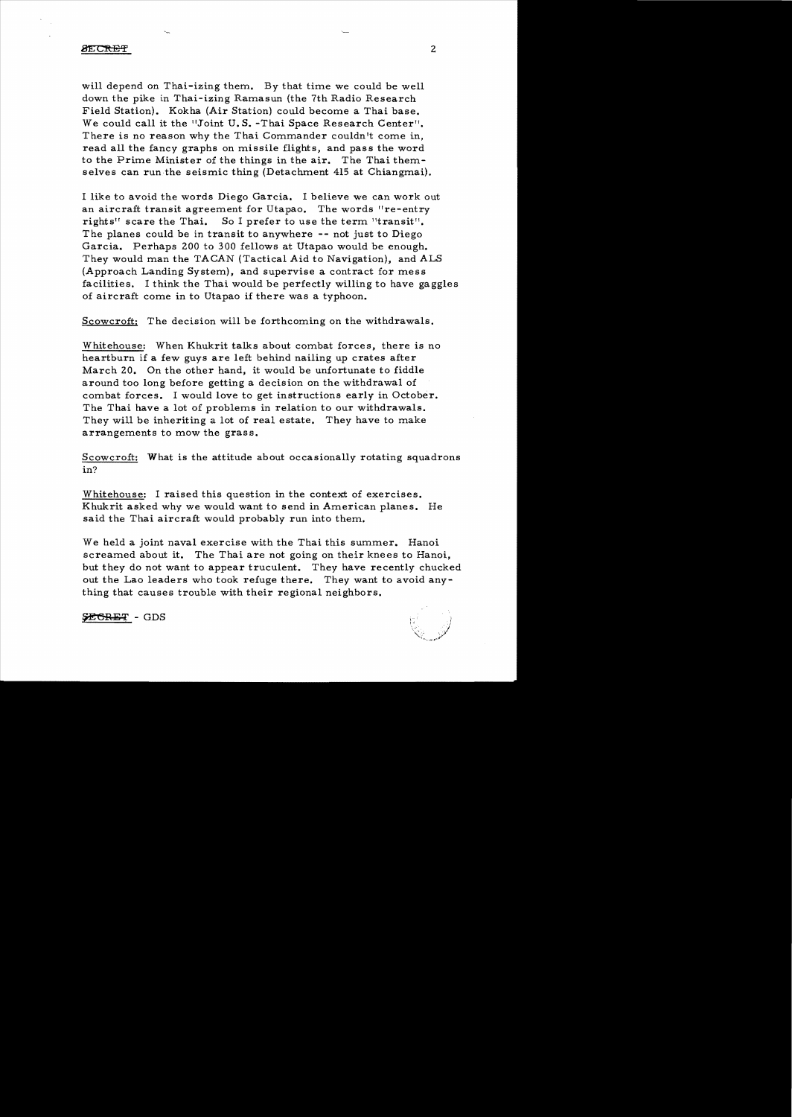#### **SECRET**

will depend on Thai-izing them. By that time we could be well down the pike in Thai-izing Ramasun (the 7th Radio Research Field Station). Kokha (Air Station) could become a Thai base. We could call it the "Joint U. S. -Thai Space Research Center". There is no reason why the Thai Commander couldn't come in, read all the fancy graphs on missile flights, and pass the word to the Prime Minister of the things in the air. The Thai themselves can run the seismic thing (Detachment 415 at Chiangmai).

I like to avoid the words Diego Garcia. I believe we can work out an aircraft transit agreement for Utapao. The words "re-entry rights" scare the Thai. So I prefer to use the term "transit". The planes could be in transit to anywhere **--** not just to Diego Garcia. Perhaps 200 to 300 fellows at Utapao would be enough. They would man the TACAN (Tactical Aid to Navigation), and ALS (Approach Landing System), and supervise a contract for mess facilities. I think the Thai would be perfectly willing to have gaggles of aircraft come in to Utapao if there was a typhoon.

Scowcroft: The decision will be forthcoming on the withdrawals.

Whitehouse: When Khukrit talks about combat forces, there is no heartburn if a few guys are left behind nailing up crates after March 20. On the other hand, it would be unfortunate to fiddle around too long before getting a decision on the withdrawal of combat forces. I would love to get instructions early in October. The Thai have a lot of problems in relation to our withdrawals. They will be inheriting a lot of real estate. They have to make arrangements to mow the grass.

Scowcroft: What is the attitude about occasionally rotating squadrons in?

Whitehouse: I raised this question in the context of exercises. Khukrit asked why we would want to send in American planes. He said the Thai aircraft would probably run into them.

We held a joint naval exercise with the Thai this summer. Hanoi screamed about it. The Thai are not going on their knees to Hanoi, but they do not want to appear truculent. They have recently chucked out the Lao leaders who took refuge there. They want to avoid anything that causes trouble with their regional neighbors.

SECRET - GDS

2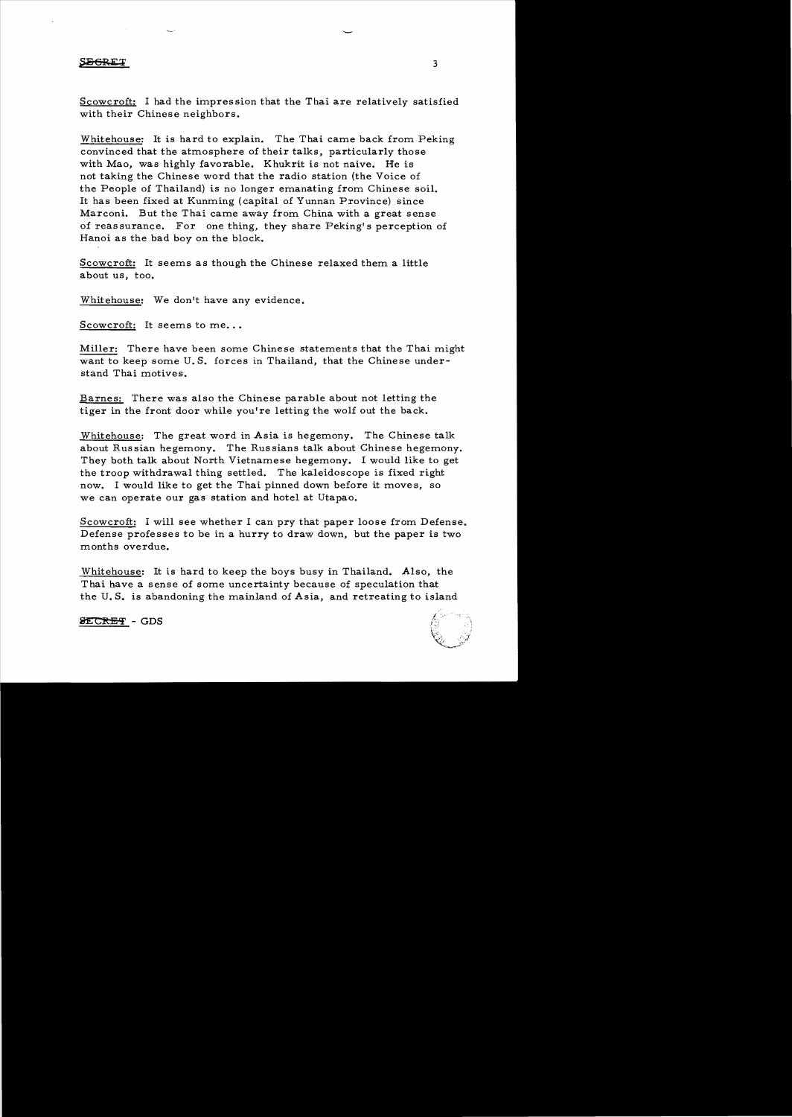### SEGREI

Scowcroft: I had the impres sion that the Thai are relatively satisfied with their Chinese neighbors.

Whitehouse: It is hard to explain. The Thai came back from Peking convinced that the atmosphere of their talks, particularly those with Mao, was highly favorable. Khukrit is not naive. He is not taking the Chinese word that the radio station (the Voice of the People of Thailand) is no longer emanating from Chinese soil. It has been fixed at Kunming (capital of Yunnan Province) since Marconi. But the Thai came away from China with a great sense of reassurance. For one thing, they share Peking's perception of Hanoi as the bad boy on the block.

Scowcroft: It seems as though the Chinese relaxed them a little about us, too.

Whitehouse: We don't have any evidence.

Scowcroft: It seems to me...

Miller: There have been some Chinese statements that the Thai might want to keep some U. S. forces in Thailand, that the Chinese understand Thai motives.

Barnes: There was also the Chinese parable about not letting the tiger in the front door while you're letting the wolf out the back.

Whitehouse: The great word in Asia is hegemony. The Chinese talk about Russian hegemony. The Russians talk about Chinese hegemony. They both talk about North Vietnamese hegemony. I would like to get the troop withdrawal thing settled. The kaleidoscope is fixed right now. I would like to get the Thai pinned down before it moves, so we can operate our gas station and hotel at Utapao.

Scowcroft: I will see whether I can pry that paper loose from Defense. Defense professes to be in a hurry to draw down, but the paper is two months overdue.

Whitehouse: It is hard to keep the boys busy in Thailand. Also, the Thai have a sense of some uncertainty because of speculation that the U. S. is abandoning the mainland of Asia, and retreating to island



**SECRET** - GDS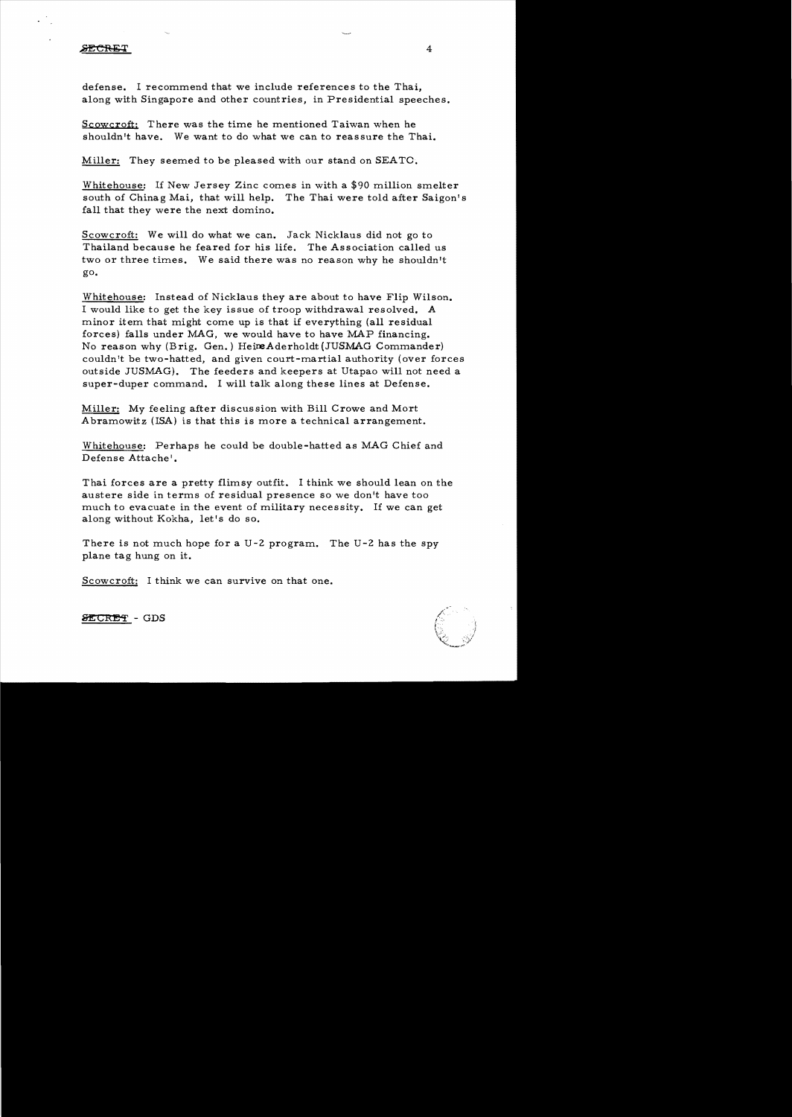### **SECRET**

defense. I recommend that we include references to the Thai, along with Singapore and other countries, in Presidential speeches.

Scowcroft: There was the time he mentioned Taiwan when he shouldn't have. We want to do what we can to reassure the Thai.

Miller: They seemed to be pleased with our stand on SEATO.

Whitehouse: If New Jersey Zinc comes in with a \$90 million smelter south of Chinag Mai, that will help. The Thai were told after Saigon's fall that they were the next domino.

Scowcroft: We will do what we can. Jack Nicklaus did not go to Thailand because he feared for his life. The Association called us two or three times. We said there was no reason why he shouldn't go.

Whitehouse: Instead of Nicklaus they are about to have Flip Wilson. I would like to get the key issue of troop withdrawal resolved. A minor item that might come up is that if everything (all residual forces) falls under MAG, we would have to have MAP financing. No reason why (Brig. Gen.) HeireAderholdt (JUSMAG Commander) couldn't be two-hatted, and given court-martial authority (over forces outside JUSMAG). The feeders and keepers at Utapao will not need a super-duper command. I will talk along these lines at Defense.

Miller: My feeling after discussion with Bill Crowe and Mort Abramowitz (ISA) is that this is more a technical arrangement.

Whitehouse: Perhaps he could be double-hatted as MAG Chief and Defense Attache'.

Thai forces are a pretty flimsy outfit. I think we should lean on the austere side in terms of residual presence so we don't have too much to evacuate in the event of military necessity. If we can get along without Kokha, let's do so.

There is not much hope for a U-2 program. The U-2 has the spy plane tag hung on it.

Scowcroft: I think we can survive on that one.



SECRET - GDS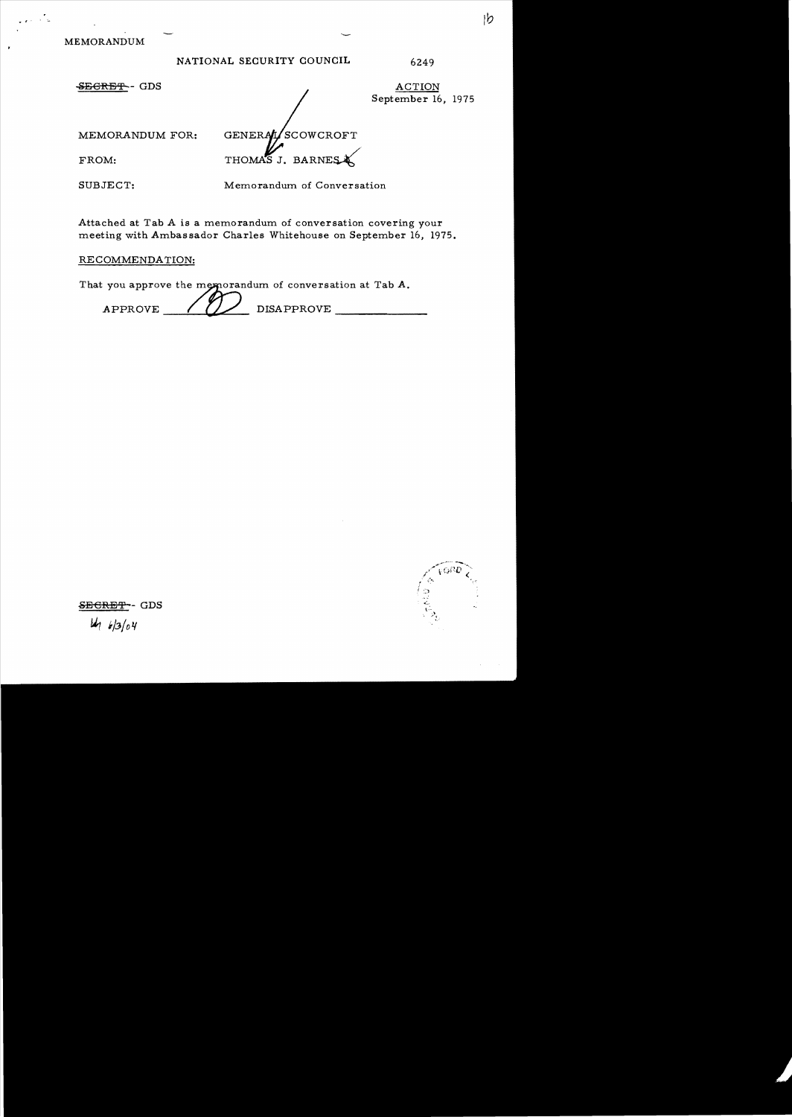MEMORANDUM

·,

| NATIONAL SECURITY COUNCIL |  | 6249 |
|---------------------------|--|------|
|---------------------------|--|------|

SEGRET-GDS

ACTION September 16, 1975

MEMORANDUM FOR:

SCOWCROFT **GENERAL** THOMAS J. BARNES

SUBJECT:

FROM:

Memorandum of Conversation

Attached at Tab A is a memorandum of conversation covering your meeting with Ambassador Charles Whitehouse on September 16, 1975.

# RECOMMENDATION:

That you approve the memorandum of conversation at Tab  $A$ .

 $APPROVE$  /  $V$  DISAPPROVE

SECRET-- GDS  $4/3/04$